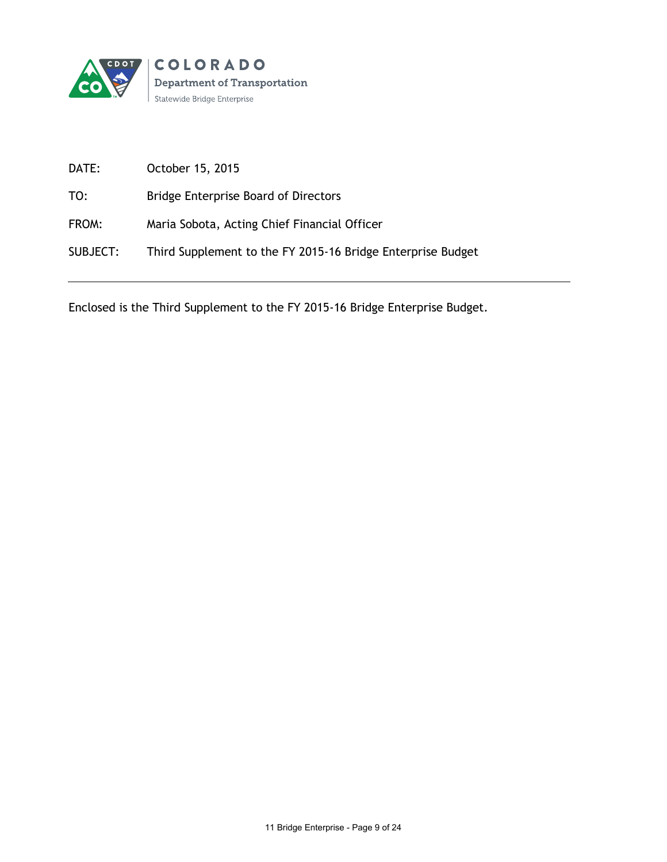

| DATE:    | October 15, 2015                                            |
|----------|-------------------------------------------------------------|
| TO:      | <b>Bridge Enterprise Board of Directors</b>                 |
| FROM:    | Maria Sobota, Acting Chief Financial Officer                |
| SUBJECT: | Third Supplement to the FY 2015-16 Bridge Enterprise Budget |

Enclosed is the Third Supplement to the FY 2015-16 Bridge Enterprise Budget.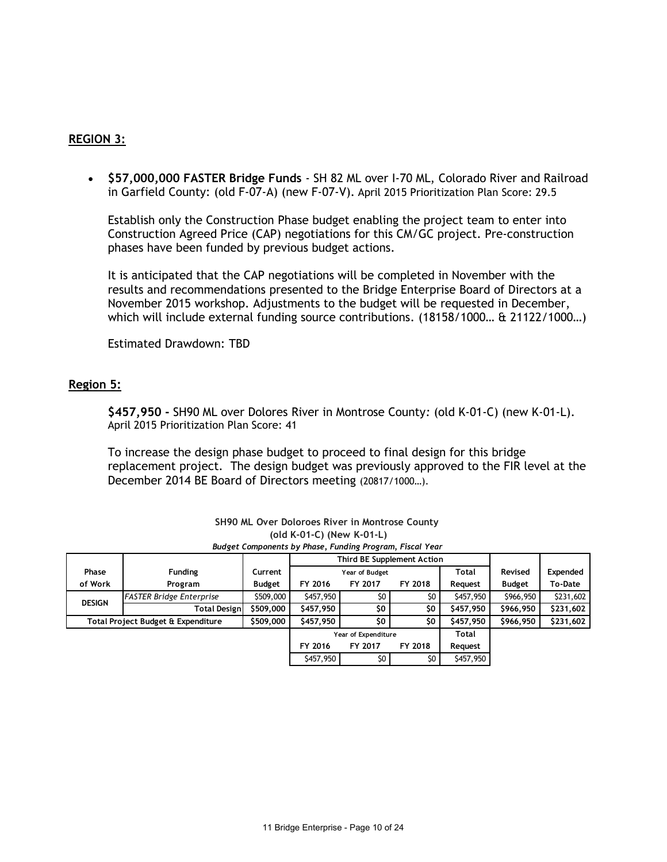## **REGION 3:**

 **\$57,000,000 FASTER Bridge Funds** - SH 82 ML over I-70 ML, Colorado River and Railroad in Garfield County: (old F-07-A) (new F-07-V). April 2015 Prioritization Plan Score: 29.5

Establish only the Construction Phase budget enabling the project team to enter into Construction Agreed Price (CAP) negotiations for this CM/GC project. Pre-construction phases have been funded by previous budget actions.

It is anticipated that the CAP negotiations will be completed in November with the results and recommendations presented to the Bridge Enterprise Board of Directors at a November 2015 workshop. Adjustments to the budget will be requested in December, which will include external funding source contributions. (18158/1000… & 21122/1000…)

Estimated Drawdown: TBD

## **Region 5:**

**\$457,950 -** SH90 ML over Dolores River in Montrose County*:* (old K-01-C) (new K-01-L). April 2015 Prioritization Plan Score: 41

To increase the design phase budget to proceed to final design for this bridge replacement project. The design budget was previously approved to the FIR level at the December 2014 BE Board of Directors meeting (20817/1000…).

| SH90 ML Over Doloroes River in Montrose County                                        |                                 |               |                                |         |           |              |               |           |  |
|---------------------------------------------------------------------------------------|---------------------------------|---------------|--------------------------------|---------|-----------|--------------|---------------|-----------|--|
| (old K-01-C) (New K-01-L)<br>Budget Components by Phase, Funding Program, Fiscal Year |                                 |               |                                |         |           |              |               |           |  |
|                                                                                       |                                 |               | Third BE Supplement Action     |         |           |              |               |           |  |
| <b>Phase</b>                                                                          | <b>Funding</b>                  | Current       | <b>Total</b><br>Year of Budget |         |           | Revised      | Expended      |           |  |
| of Work                                                                               | Program                         | <b>Budget</b> | FY 2016                        | FY 2017 | FY 2018   | Request      | <b>Budget</b> | To-Date   |  |
| <b>DESIGN</b>                                                                         | <b>FASTER Bridge Enterprise</b> | \$509,000     | \$457,950                      | \$0     | \$0       | \$457,950    | \$966,950     | \$231,602 |  |
|                                                                                       | <b>Total Designl</b>            | \$509,000     | \$457,950                      | \$0     | \$0       | \$457,950    | \$966,950     | \$231,602 |  |
| \$509,000<br>Total Project Budget & Expenditure                                       |                                 | \$457,950     | \$0                            | \$0     | \$457,950 | \$966,950    | \$231,602     |           |  |
|                                                                                       |                                 |               | Year of Expenditure            |         |           | <b>Total</b> |               |           |  |
|                                                                                       |                                 |               | FY 2016                        | FY 2017 | FY 2018   | Request      |               |           |  |
|                                                                                       |                                 |               | \$457,950                      | \$0     | \$0       | \$457,950    |               |           |  |

| <b>SH90 ML Over Doloroes River in Montrose County</b>    |
|----------------------------------------------------------|
| (old K-01-C) (New K-01-L)                                |
| Budget Components by Phase, Funding Program, Fiscal Year |